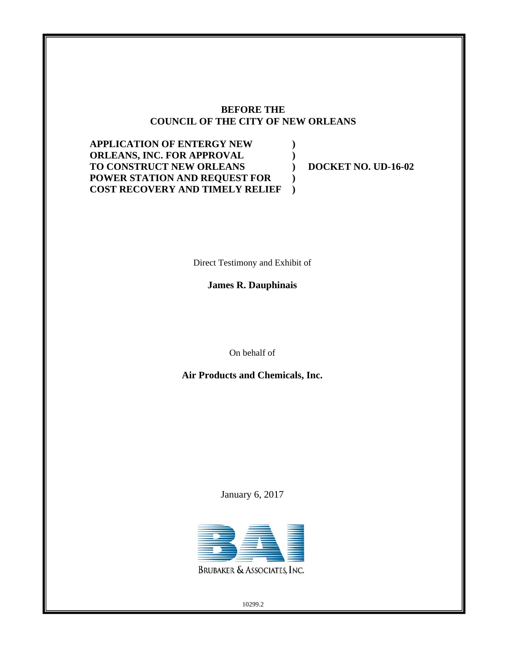### **BEFORE THE COUNCIL OF THE CITY OF NEW ORLEANS**

**) ) ) ) )** 

**APPLICATION OF ENTERGY NEW ORLEANS, INC. FOR APPROVAL TO CONSTRUCT NEW ORLEANS POWER STATION AND REQUEST FOR COST RECOVERY AND TIMELY RELIEF**

**DOCKET NO. UD-16-02** 

Direct Testimony and Exhibit of

**James R. Dauphinais**

On behalf of

**Air Products and Chemicals, Inc.** 

January 6, 2017



10299.2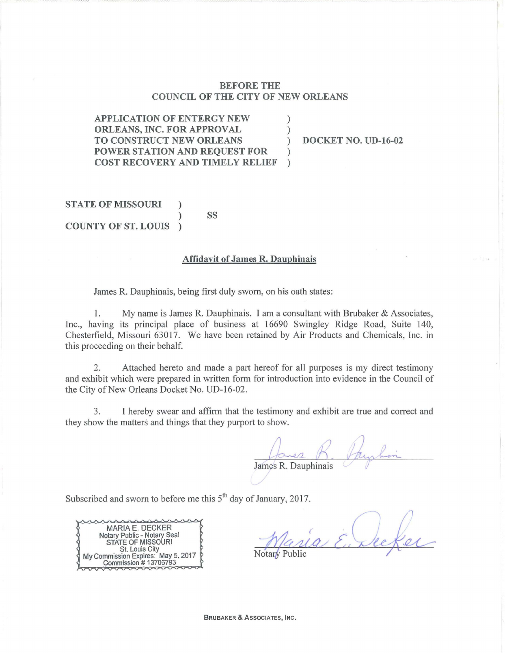#### BEFORE THE COUNCIL OF THE CITY OF NEW ORLEANS

APPLICATION OF ENTERGY NEW ORLEANS, INC. FOR APPROVAL (1) TO CONSTRUCT NEW ORLEANS ) DOCKET NO. UD-16-02 POWER STATION AND REQUEST FOR ) COST RECOVERY AND TIMELY RELIEF

**STATE OF MISSOURI** ) ss COUNTY OF ST. LOUIS )

#### Affidavit of James R. Dauphinais

James R. Dauphinais, being first duly sworn, on his oath states:

1. My name is James R. Dauphinais. I am a consultant with Brubaker & Associates, Inc., having its principal place of business at 16690 Swingley Ridge Road, Suite 140, Chesterfield, Missouri 63017. We have been retained by Air Products and Chemicals, Inc. in this proceeding on their behalf.

2. Attached hereto and made a part hereof for all purposes is my direct testimony and exhibit which were prepared in written form for introduction into evidence in the Council of the City of New Orleans Docket No. UD-16-02.

3. I hereby swear and affirm that the testimony and exhibit are true and correct and they show the matters and things that they purport to show.

Janes R. Paysho James R. Dauphinais

Subscribed and sworn to before me this  $5<sup>th</sup>$  day of January, 2017.

MARIA E. DECKER Notary Public- Notary Seal STATE OF MISSOURI St. Louis City Commission Expires: May 5, 2017 Commission  $#$  13706793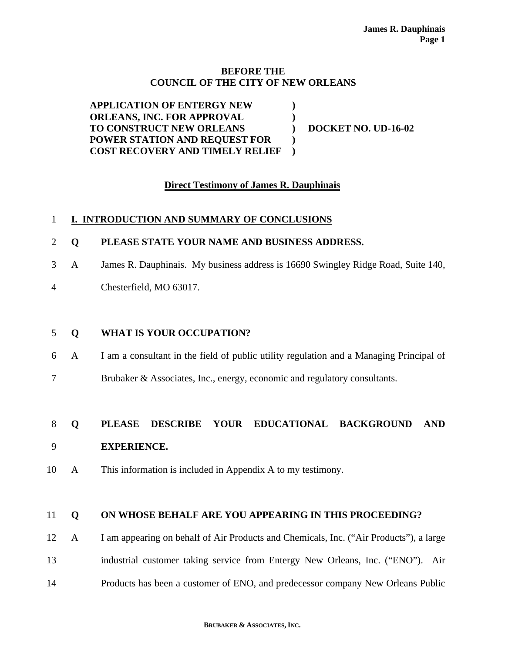#### **BEFORE THE COUNCIL OF THE CITY OF NEW ORLEANS**

**APPLICATION OF ENTERGY NEW ORLEANS, INC. FOR APPROVAL TO CONSTRUCT NEW ORLEANS POWER STATION AND REQUEST FOR COST RECOVERY AND TIMELY RELIEF ) ) ) ) ) DOCKET NO. UD-16-02** 

### **Direct Testimony of James R. Dauphinais**

### 1 **I. INTRODUCTION AND SUMMARY OF CONCLUSIONS**

- 2 **Q PLEASE STATE YOUR NAME AND BUSINESS ADDRESS.**
- 3 A James R. Dauphinais. My business address is 16690 Swingley Ridge Road, Suite 140,
- 4 Chesterfield, MO 63017.

### 5 **Q WHAT IS YOUR OCCUPATION?**

- 6 A I am a consultant in the field of public utility regulation and a Managing Principal of
- 7 Brubaker & Associates, Inc., energy, economic and regulatory consultants.

### 8 **Q PLEASE DESCRIBE YOUR EDUCATIONAL BACKGROUND AND**  9 **EXPERIENCE.**

10 A This information is included in Appendix A to my testimony.

### 11 **Q ON WHOSE BEHALF ARE YOU APPEARING IN THIS PROCEEDING?**

- 12 A I am appearing on behalf of Air Products and Chemicals, Inc. ("Air Products"), a large 13 industrial customer taking service from Entergy New Orleans, Inc. ("ENO"). Air
- 14 Products has been a customer of ENO, and predecessor company New Orleans Public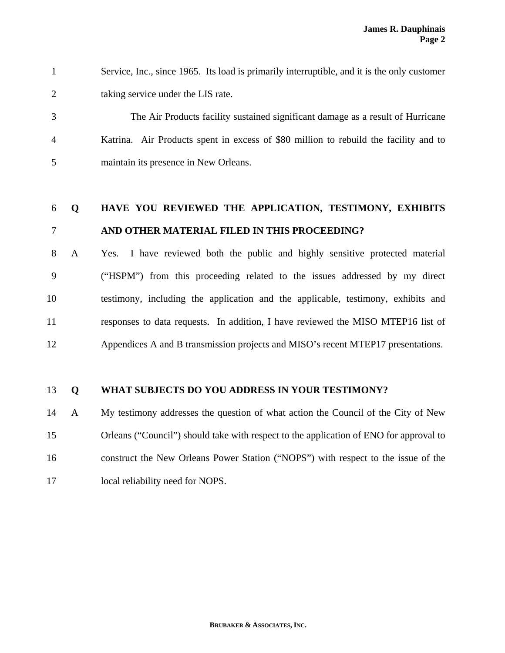1 Service, Inc., since 1965. Its load is primarily interruptible, and it is the only customer 2 taking service under the LIS rate.

3 The Air Products facility sustained significant damage as a result of Hurricane 4 Katrina. Air Products spent in excess of \$80 million to rebuild the facility and to 5 maintain its presence in New Orleans.

## 6 **Q HAVE YOU REVIEWED THE APPLICATION, TESTIMONY, EXHIBITS**  7 **AND OTHER MATERIAL FILED IN THIS PROCEEDING?**

8 A Yes. I have reviewed both the public and highly sensitive protected material 9 ("HSPM") from this proceeding related to the issues addressed by my direct 10 testimony, including the application and the applicable, testimony, exhibits and 11 responses to data requests. In addition, I have reviewed the MISO MTEP16 list of 12 Appendices A and B transmission projects and MISO's recent MTEP17 presentations.

### 13 **Q WHAT SUBJECTS DO YOU ADDRESS IN YOUR TESTIMONY?**

14 A My testimony addresses the question of what action the Council of the City of New 15 Orleans ("Council") should take with respect to the application of ENO for approval to 16 construct the New Orleans Power Station ("NOPS") with respect to the issue of the 17 local reliability need for NOPS.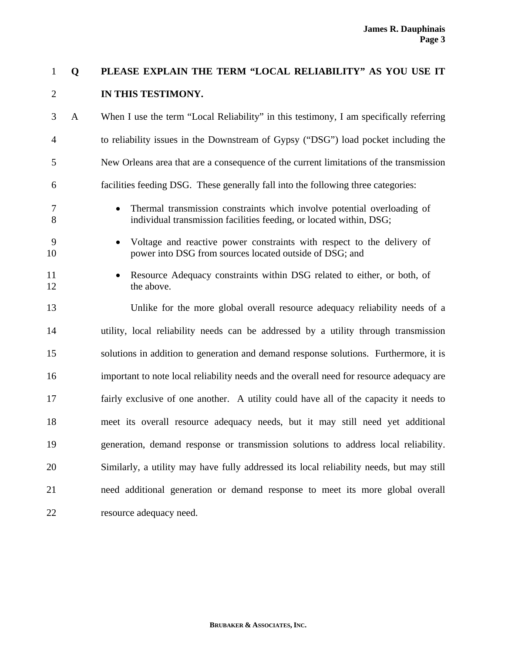## 1 **Q PLEASE EXPLAIN THE TERM "LOCAL RELIABILITY" AS YOU USE IT**  2 **IN THIS TESTIMONY.**

3 A When I use the term "Local Reliability" in this testimony, I am specifically referring 4 to reliability issues in the Downstream of Gypsy ("DSG") load pocket including the 5 New Orleans area that are a consequence of the current limitations of the transmission 6 facilities feeding DSG. These generally fall into the following three categories:

- 7 Thermal transmission constraints which involve potential overloading of 8 individual transmission facilities feeding, or located within, DSG;
- 9 Voltage and reactive power constraints with respect to the delivery of 10 power into DSG from sources located outside of DSG; and
- 11 Resource Adequacy constraints within DSG related to either, or both, of 12 the above.

13 Unlike for the more global overall resource adequacy reliability needs of a 14 utility, local reliability needs can be addressed by a utility through transmission 15 solutions in addition to generation and demand response solutions. Furthermore, it is 16 important to note local reliability needs and the overall need for resource adequacy are 17 fairly exclusive of one another. A utility could have all of the capacity it needs to 18 meet its overall resource adequacy needs, but it may still need yet additional 19 generation, demand response or transmission solutions to address local reliability. 20 Similarly, a utility may have fully addressed its local reliability needs, but may still 21 need additional generation or demand response to meet its more global overall 22 resource adequacy need.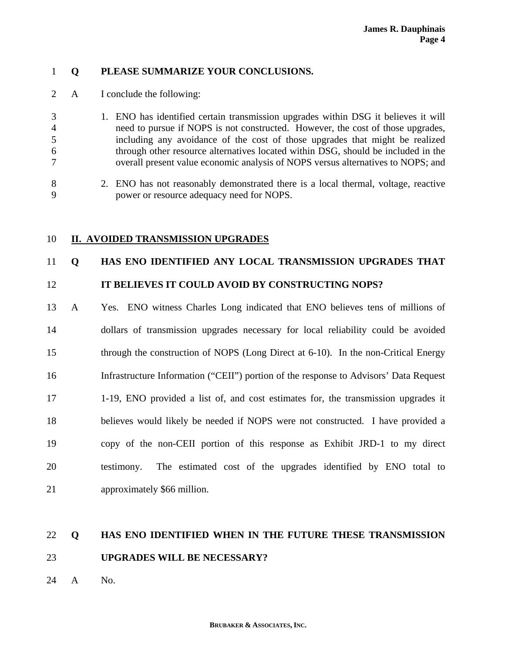### 1 **Q PLEASE SUMMARIZE YOUR CONCLUSIONS.**

- 2 A I conclude the following:
- 3 1. ENO has identified certain transmission upgrades within DSG it believes it will 4 need to pursue if NOPS is not constructed. However, the cost of those upgrades, 5 including any avoidance of the cost of those upgrades that might be realized 6 through other resource alternatives located within DSG, should be included in the 7 overall present value economic analysis of NOPS versus alternatives to NOPS; and
- 8 2. ENO has not reasonably demonstrated there is a local thermal, voltage, reactive 9 power or resource adequacy need for NOPS.

### 10 **II. AVOIDED TRANSMISSION UPGRADES**

### 11 **Q HAS ENO IDENTIFIED ANY LOCAL TRANSMISSION UPGRADES THAT**

### 12 **IT BELIEVES IT COULD AVOID BY CONSTRUCTING NOPS?**

13 A Yes. ENO witness Charles Long indicated that ENO believes tens of millions of 14 dollars of transmission upgrades necessary for local reliability could be avoided 15 through the construction of NOPS (Long Direct at 6-10). In the non-Critical Energy 16 Infrastructure Information ("CEII") portion of the response to Advisors' Data Request 17 1-19, ENO provided a list of, and cost estimates for, the transmission upgrades it 18 believes would likely be needed if NOPS were not constructed. I have provided a 19 copy of the non-CEII portion of this response as Exhibit JRD-1 to my direct 20 testimony. The estimated cost of the upgrades identified by ENO total to 21 approximately \$66 million.

## 22 **Q HAS ENO IDENTIFIED WHEN IN THE FUTURE THESE TRANSMISSION**  23 **UPGRADES WILL BE NECESSARY?**

24 A No.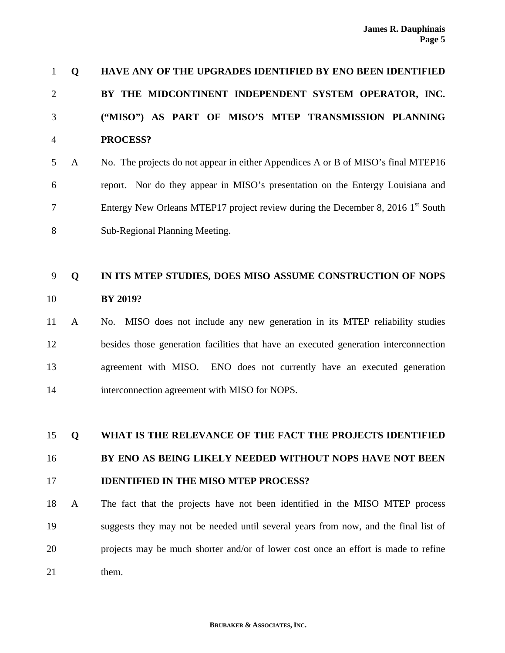| -1             | O           | <b>HAVE ANY OF THE UPGRADES IDENTIFIED BY ENO BEEN IDENTIFIED</b>                           |
|----------------|-------------|---------------------------------------------------------------------------------------------|
| 2              |             | BY THE MIDCONTINENT INDEPENDENT SYSTEM OPERATOR, INC.                                       |
| 3              |             | ("MISO") AS PART OF MISO'S MTEP TRANSMISSION PLANNING                                       |
| $\overline{4}$ |             | PROCESS?                                                                                    |
| 5              | A           | No. The projects do not appear in either Appendices A or B of MISO's final MTEP16           |
| 6              |             | report. Nor do they appear in MISO's presentation on the Entergy Louisiana and              |
| 7              |             | Entergy New Orleans MTEP17 project review during the December 8, 2016 1 <sup>st</sup> South |
| 8              |             | Sub-Regional Planning Meeting.                                                              |
|                |             |                                                                                             |
| 9              | $\mathbf 0$ | IN ITS MTEP STUDIES, DOES MISO ASSUME CONSTRUCTION OF NOPS                                  |
| 10             |             | <b>BY 2019?</b>                                                                             |

11 A No. MISO does not include any new generation in its MTEP reliability studies 12 besides those generation facilities that have an executed generation interconnection 13 agreement with MISO. ENO does not currently have an executed generation 14 interconnection agreement with MISO for NOPS.

15 **Q WHAT IS THE RELEVANCE OF THE FACT THE PROJECTS IDENTIFIED**  16 **BY ENO AS BEING LIKELY NEEDED WITHOUT NOPS HAVE NOT BEEN**  17 **IDENTIFIED IN THE MISO MTEP PROCESS?**

18 A The fact that the projects have not been identified in the MISO MTEP process 19 suggests they may not be needed until several years from now, and the final list of 20 projects may be much shorter and/or of lower cost once an effort is made to refine 21 them.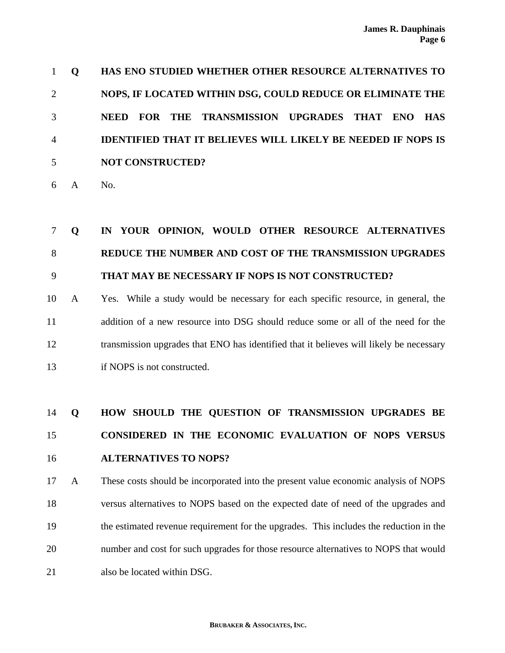**Q HAS ENO STUDIED WHETHER OTHER RESOURCE ALTERNATIVES TO NOPS, IF LOCATED WITHIN DSG, COULD REDUCE OR ELIMINATE THE NEED FOR THE TRANSMISSION UPGRADES THAT ENO HAS IDENTIFIED THAT IT BELIEVES WILL LIKELY BE NEEDED IF NOPS IS NOT CONSTRUCTED?**

6 A No.

# 7 **Q IN YOUR OPINION, WOULD OTHER RESOURCE ALTERNATIVES**  8 **REDUCE THE NUMBER AND COST OF THE TRANSMISSION UPGRADES**  9 **THAT MAY BE NECESSARY IF NOPS IS NOT CONSTRUCTED?**

10 A Yes. While a study would be necessary for each specific resource, in general, the 11 addition of a new resource into DSG should reduce some or all of the need for the 12 transmission upgrades that ENO has identified that it believes will likely be necessary 13 if NOPS is not constructed.

# 14 **Q HOW SHOULD THE QUESTION OF TRANSMISSION UPGRADES BE**  15 **CONSIDERED IN THE ECONOMIC EVALUATION OF NOPS VERSUS**  16 **ALTERNATIVES TO NOPS?**

17 A These costs should be incorporated into the present value economic analysis of NOPS 18 versus alternatives to NOPS based on the expected date of need of the upgrades and 19 the estimated revenue requirement for the upgrades. This includes the reduction in the 20 number and cost for such upgrades for those resource alternatives to NOPS that would 21 also be located within DSG.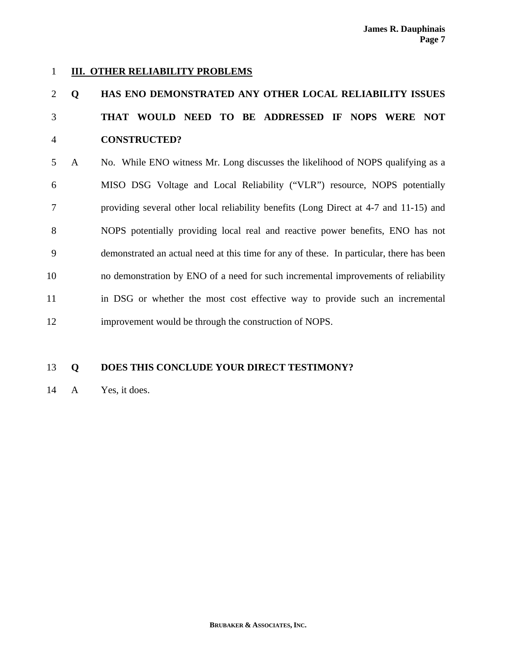### 1 **III. OTHER RELIABILITY PROBLEMS**

# 2 **Q HAS ENO DEMONSTRATED ANY OTHER LOCAL RELIABILITY ISSUES**  3 **THAT WOULD NEED TO BE ADDRESSED IF NOPS WERE NOT**  4 **CONSTRUCTED?**

5 A No. While ENO witness Mr. Long discusses the likelihood of NOPS qualifying as a 6 MISO DSG Voltage and Local Reliability ("VLR") resource, NOPS potentially 7 providing several other local reliability benefits (Long Direct at 4-7 and 11-15) and 8 NOPS potentially providing local real and reactive power benefits, ENO has not 9 demonstrated an actual need at this time for any of these. In particular, there has been 10 no demonstration by ENO of a need for such incremental improvements of reliability 11 in DSG or whether the most cost effective way to provide such an incremental 12 improvement would be through the construction of NOPS.

### 13 **Q DOES THIS CONCLUDE YOUR DIRECT TESTIMONY?**

14 A Yes, it does.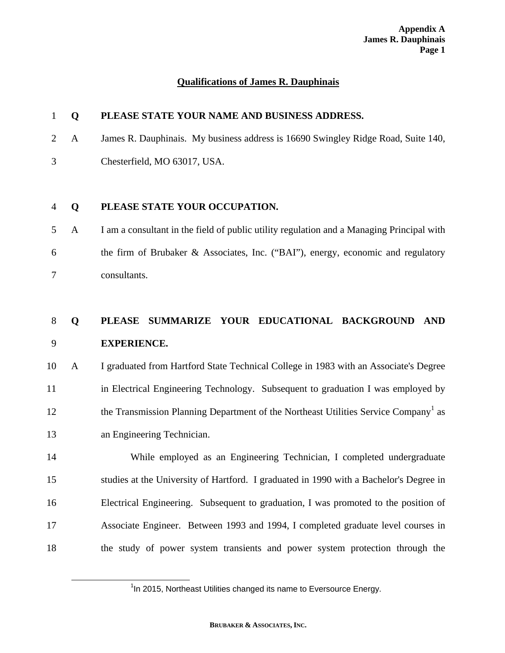### **Qualifications of James R. Dauphinais**

### 1 **Q PLEASE STATE YOUR NAME AND BUSINESS ADDRESS.**

- 2 A James R. Dauphinais. My business address is 16690 Swingley Ridge Road, Suite 140,
- 3 Chesterfield, MO 63017, USA.

### 4 **Q PLEASE STATE YOUR OCCUPATION.**

5 A I am a consultant in the field of public utility regulation and a Managing Principal with 6 the firm of Brubaker & Associates, Inc. ("BAI"), energy, economic and regulatory 7 consultants.

# 8 **Q PLEASE SUMMARIZE YOUR EDUCATIONAL BACKGROUND AND**  9 **EXPERIENCE.**

10 A I graduated from Hartford State Technical College in 1983 with an Associate's Degree 11 in Electrical Engineering Technology. Subsequent to graduation I was employed by the Transmission Planning Department of the Northeast Utilities Service Company<sup>1</sup> as 13 an Engineering Technician.

14 While employed as an Engineering Technician, I completed undergraduate 15 studies at the University of Hartford. I graduated in 1990 with a Bachelor's Degree in 16 Electrical Engineering. Subsequent to graduation, I was promoted to the position of 17 Associate Engineer. Between 1993 and 1994, I completed graduate level courses in 18 the study of power system transients and power system protection through the

<sup>&</sup>lt;u>1</u>  $1$ In 2015, Northeast Utilities changed its name to Eversource Energy.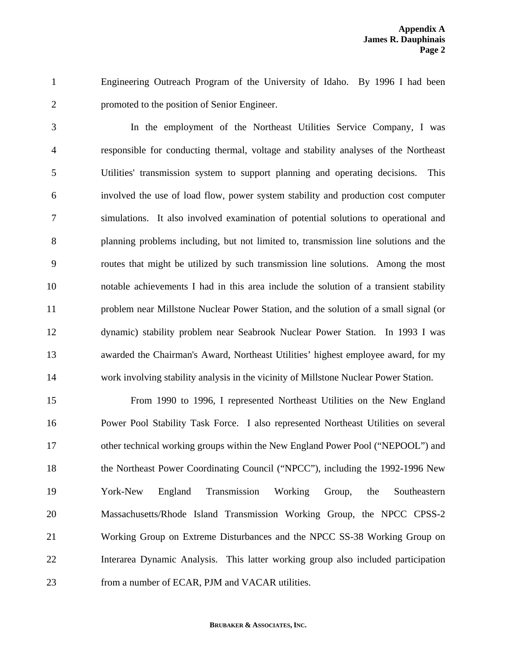1 Engineering Outreach Program of the University of Idaho. By 1996 I had been 2 promoted to the position of Senior Engineer.

3 In the employment of the Northeast Utilities Service Company, I was 4 responsible for conducting thermal, voltage and stability analyses of the Northeast 5 Utilities' transmission system to support planning and operating decisions. This 6 involved the use of load flow, power system stability and production cost computer 7 simulations. It also involved examination of potential solutions to operational and 8 planning problems including, but not limited to, transmission line solutions and the 9 routes that might be utilized by such transmission line solutions. Among the most 10 notable achievements I had in this area include the solution of a transient stability 11 problem near Millstone Nuclear Power Station, and the solution of a small signal (or 12 dynamic) stability problem near Seabrook Nuclear Power Station. In 1993 I was 13 awarded the Chairman's Award, Northeast Utilities' highest employee award, for my 14 work involving stability analysis in the vicinity of Millstone Nuclear Power Station.

15 From 1990 to 1996, I represented Northeast Utilities on the New England 16 Power Pool Stability Task Force. I also represented Northeast Utilities on several 17 other technical working groups within the New England Power Pool ("NEPOOL") and 18 the Northeast Power Coordinating Council ("NPCC"), including the 1992-1996 New 19 York-New England Transmission Working Group, the Southeastern 20 Massachusetts/Rhode Island Transmission Working Group, the NPCC CPSS-2 21 Working Group on Extreme Disturbances and the NPCC SS-38 Working Group on 22 Interarea Dynamic Analysis. This latter working group also included participation 23 from a number of ECAR, PJM and VACAR utilities.

#### **BRUBAKER & ASSOCIATES, INC.**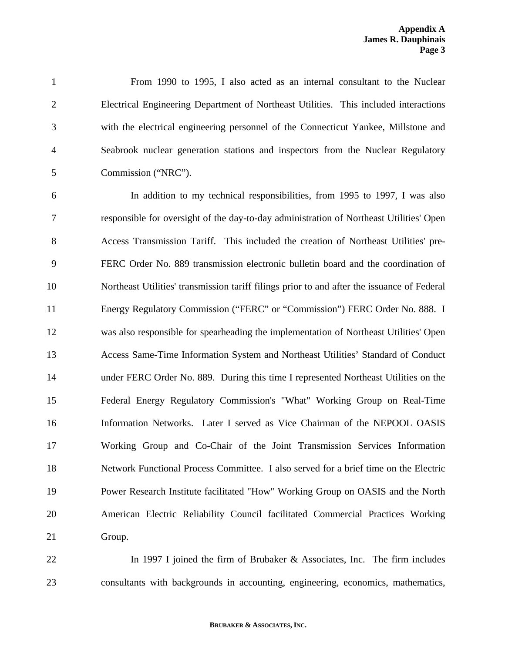1 From 1990 to 1995, I also acted as an internal consultant to the Nuclear 2 Electrical Engineering Department of Northeast Utilities. This included interactions 3 with the electrical engineering personnel of the Connecticut Yankee, Millstone and 4 Seabrook nuclear generation stations and inspectors from the Nuclear Regulatory 5 Commission ("NRC").

6 In addition to my technical responsibilities, from 1995 to 1997, I was also 7 responsible for oversight of the day-to-day administration of Northeast Utilities' Open 8 Access Transmission Tariff. This included the creation of Northeast Utilities' pre-9 FERC Order No. 889 transmission electronic bulletin board and the coordination of 10 Northeast Utilities' transmission tariff filings prior to and after the issuance of Federal 11 Energy Regulatory Commission ("FERC" or "Commission") FERC Order No. 888. I 12 was also responsible for spearheading the implementation of Northeast Utilities' Open 13 Access Same-Time Information System and Northeast Utilities' Standard of Conduct 14 under FERC Order No. 889. During this time I represented Northeast Utilities on the 15 Federal Energy Regulatory Commission's "What" Working Group on Real-Time 16 Information Networks. Later I served as Vice Chairman of the NEPOOL OASIS 17 Working Group and Co-Chair of the Joint Transmission Services Information 18 Network Functional Process Committee. I also served for a brief time on the Electric 19 Power Research Institute facilitated "How" Working Group on OASIS and the North 20 American Electric Reliability Council facilitated Commercial Practices Working 21 Group.

22 **In 1997 I joined the firm of Brubaker & Associates, Inc. The firm includes** 23 consultants with backgrounds in accounting, engineering, economics, mathematics,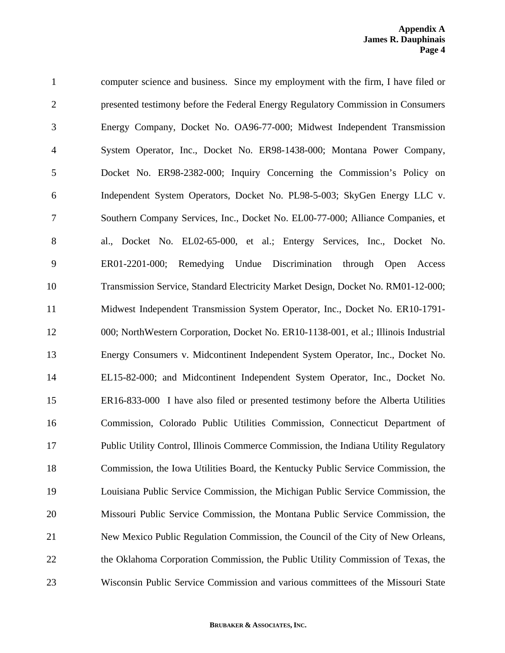1 computer science and business. Since my employment with the firm, I have filed or 2 presented testimony before the Federal Energy Regulatory Commission in Consumers 3 Energy Company, Docket No. OA96-77-000; Midwest Independent Transmission 4 System Operator, Inc., Docket No. ER98-1438-000; Montana Power Company, 5 Docket No. ER98-2382-000; Inquiry Concerning the Commission's Policy on 6 Independent System Operators, Docket No. PL98-5-003; SkyGen Energy LLC v. 7 Southern Company Services, Inc., Docket No. EL00-77-000; Alliance Companies, et 8 al., Docket No. EL02-65-000, et al.; Entergy Services, Inc., Docket No. 9 ER01-2201-000; Remedying Undue Discrimination through Open Access 10 Transmission Service, Standard Electricity Market Design, Docket No. RM01-12-000; 11 Midwest Independent Transmission System Operator, Inc., Docket No. ER10-1791- 12 000; NorthWestern Corporation, Docket No. ER10-1138-001, et al.; Illinois Industrial 13 Energy Consumers v. Midcontinent Independent System Operator, Inc., Docket No. 14 EL15-82-000; and Midcontinent Independent System Operator, Inc., Docket No. 15 ER16-833-000 I have also filed or presented testimony before the Alberta Utilities 16 Commission, Colorado Public Utilities Commission, Connecticut Department of 17 Public Utility Control, Illinois Commerce Commission, the Indiana Utility Regulatory 18 Commission, the Iowa Utilities Board, the Kentucky Public Service Commission, the 19 Louisiana Public Service Commission, the Michigan Public Service Commission, the 20 Missouri Public Service Commission, the Montana Public Service Commission, the 21 New Mexico Public Regulation Commission, the Council of the City of New Orleans, 22 the Oklahoma Corporation Commission, the Public Utility Commission of Texas, the 23 Wisconsin Public Service Commission and various committees of the Missouri State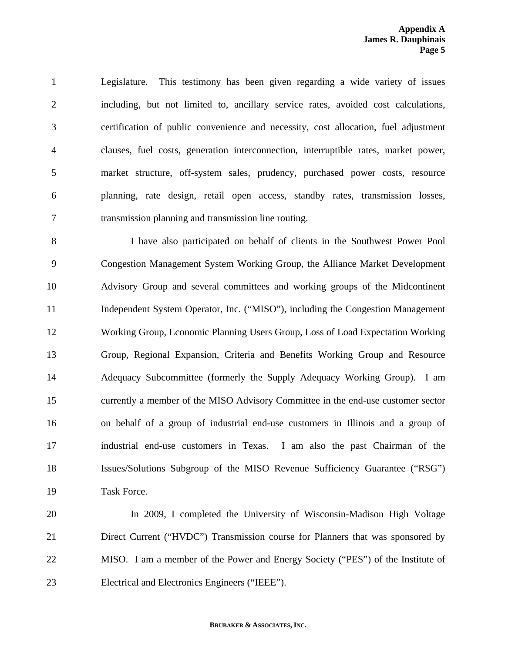1 Legislature. This testimony has been given regarding a wide variety of issues 2 including, but not limited to, ancillary service rates, avoided cost calculations, 3 certification of public convenience and necessity, cost allocation, fuel adjustment 4 clauses, fuel costs, generation interconnection, interruptible rates, market power, 5 market structure, off-system sales, prudency, purchased power costs, resource 6 planning, rate design, retail open access, standby rates, transmission losses, 7 transmission planning and transmission line routing.

8 I have also participated on behalf of clients in the Southwest Power Pool 9 Congestion Management System Working Group, the Alliance Market Development 10 Advisory Group and several committees and working groups of the Midcontinent 11 Independent System Operator, Inc. ("MISO"), including the Congestion Management 12 Working Group, Economic Planning Users Group, Loss of Load Expectation Working 13 Group, Regional Expansion, Criteria and Benefits Working Group and Resource 14 Adequacy Subcommittee (formerly the Supply Adequacy Working Group). I am 15 currently a member of the MISO Advisory Committee in the end-use customer sector 16 on behalf of a group of industrial end-use customers in Illinois and a group of 17 industrial end-use customers in Texas. I am also the past Chairman of the 18 Issues/Solutions Subgroup of the MISO Revenue Sufficiency Guarantee ("RSG") 19 Task Force.

20 In 2009, I completed the University of Wisconsin-Madison High Voltage 21 Direct Current ("HVDC") Transmission course for Planners that was sponsored by 22 MISO. I am a member of the Power and Energy Society ("PES") of the Institute of 23 Electrical and Electronics Engineers ("IEEE").

#### **BRUBAKER & ASSOCIATES, INC.**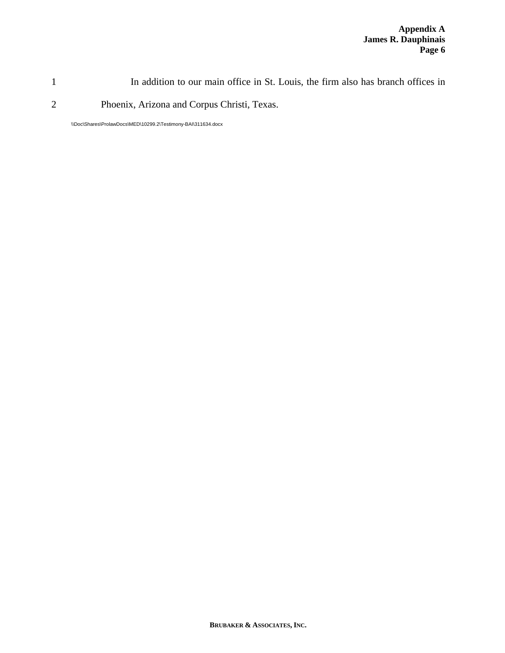1 In addition to our main office in St. Louis, the firm also has branch offices in

2 Phoenix, Arizona and Corpus Christi, Texas.

\\Doc\Shares\ProlawDocs\MED\10299.2\Testimony-BAI\311634.docx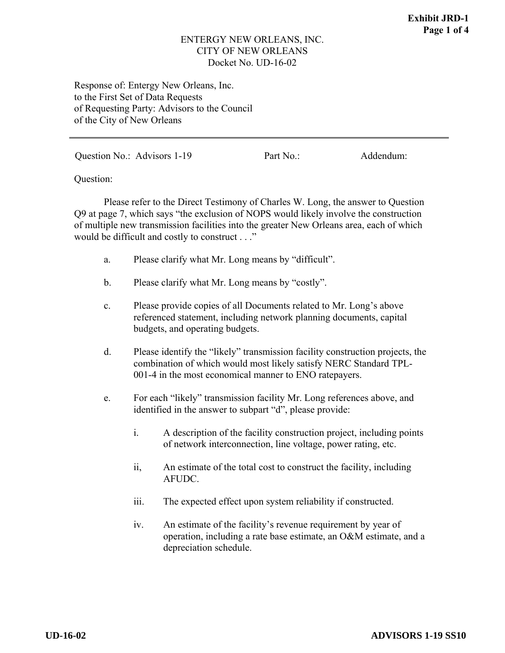### ENTERGY NEW ORLEANS, INC. CITY OF NEW ORLEANS Docket No. UD-16-02

Response of: Entergy New Orleans, Inc. to the First Set of Data Requests of Requesting Party: Advisors to the Council of the City of New Orleans

Question No.: Advisors 1-19 Part No.: Addendum:

Question:

Please refer to the Direct Testimony of Charles W. Long, the answer to Question Q9 at page 7, which says "the exclusion of NOPS would likely involve the construction of multiple new transmission facilities into the greater New Orleans area, each of which would be difficult and costly to construct . . ."

- a. Please clarify what Mr. Long means by "difficult".
- b. Please clarify what Mr. Long means by "costly".
- c. Please provide copies of all Documents related to Mr. Long's above referenced statement, including network planning documents, capital budgets, and operating budgets.
- d. Please identify the "likely" transmission facility construction projects, the combination of which would most likely satisfy NERC Standard TPL-001-4 in the most economical manner to ENO ratepayers.
- e. For each "likely" transmission facility Mr. Long references above, and identified in the answer to subpart "d", please provide:
	- i. A description of the facility construction project, including points of network interconnection, line voltage, power rating, etc.
	- ii, An estimate of the total cost to construct the facility, including AFUDC.
	- iii. The expected effect upon system reliability if constructed.
	- iv. An estimate of the facility's revenue requirement by year of operation, including a rate base estimate, an O&M estimate, and a depreciation schedule.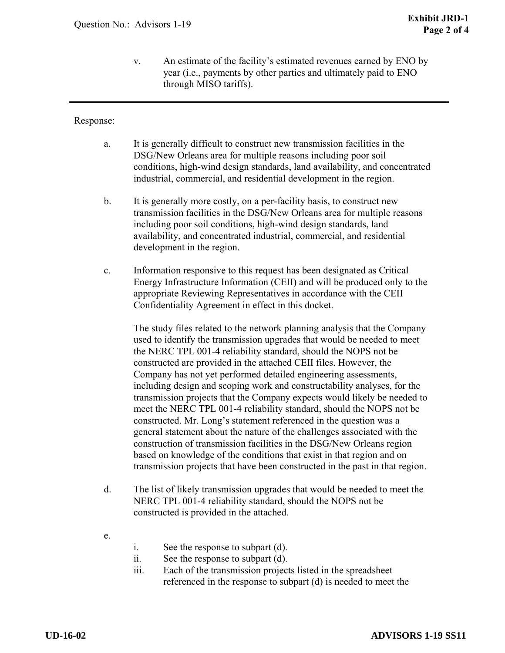v. An estimate of the facility's estimated revenues earned by ENO by year (i.e., payments by other parties and ultimately paid to ENO through MISO tariffs).

### Response:

- a. It is generally difficult to construct new transmission facilities in the DSG/New Orleans area for multiple reasons including poor soil conditions, high-wind design standards, land availability, and concentrated industrial, commercial, and residential development in the region.
- b. It is generally more costly, on a per-facility basis, to construct new transmission facilities in the DSG/New Orleans area for multiple reasons including poor soil conditions, high-wind design standards, land availability, and concentrated industrial, commercial, and residential development in the region.
- c. Information responsive to this request has been designated as Critical Energy Infrastructure Information (CEII) and will be produced only to the appropriate Reviewing Representatives in accordance with the CEII Confidentiality Agreement in effect in this docket.

The study files related to the network planning analysis that the Company used to identify the transmission upgrades that would be needed to meet the NERC TPL 001-4 reliability standard, should the NOPS not be constructed are provided in the attached CEII files. However, the Company has not yet performed detailed engineering assessments, including design and scoping work and constructability analyses, for the transmission projects that the Company expects would likely be needed to meet the NERC TPL 001-4 reliability standard, should the NOPS not be constructed. Mr. Long's statement referenced in the question was a general statement about the nature of the challenges associated with the construction of transmission facilities in the DSG/New Orleans region based on knowledge of the conditions that exist in that region and on transmission projects that have been constructed in the past in that region.

- d. The list of likely transmission upgrades that would be needed to meet the NERC TPL 001-4 reliability standard, should the NOPS not be constructed is provided in the attached.
- e.
- i. See the response to subpart (d).
- ii. See the response to subpart (d).
- iii. Each of the transmission projects listed in the spreadsheet referenced in the response to subpart (d) is needed to meet the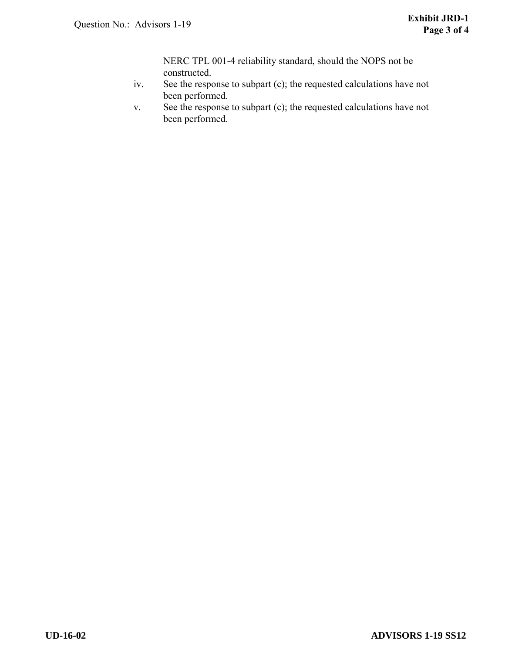NERC TPL 001-4 reliability standard, should the NOPS not be constructed.

- iv. See the response to subpart (c); the requested calculations have not been performed.
- v. See the response to subpart (c); the requested calculations have not been performed.